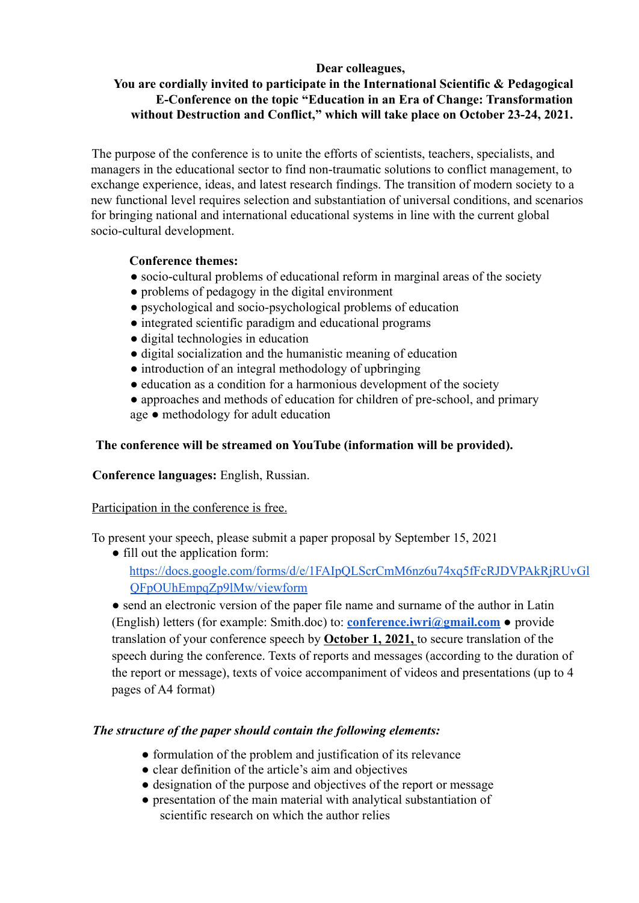# **Dear colleagues,**

# **You are cordially invited to participate in the International Scientific & Pedagogical E-Conference on the topic "Education in an Era of Change: Transformation without Destruction and Conflict," which will take place on October 23-24, 2021.**

The purpose of the conference is to unite the efforts of scientists, teachers, specialists, and managers in the educational sector to find non-traumatic solutions to conflict management, to exchange experience, ideas, and latest research findings. The transition of modern society to a new functional level requires selection and substantiation of universal conditions, and scenarios for bringing national and international educational systems in line with the current global socio-cultural development.

# **Conference themes:**

- socio-cultural problems of educational reform in marginal areas of the society
- problems of pedagogy in the digital environment
- psychological and socio-psychological problems of education
- integrated scientific paradigm and educational programs
- digital technologies in education
- digital socialization and the humanistic meaning of education
- introduction of an integral methodology of upbringing
- education as a condition for a harmonious development of the society
- approaches and methods of education for children of pre-school, and primary age ● methodology for adult education

## **The conference will be streamed on YouTube (information will be provided).**

## **Conference languages:** English, Russian.

## Participation in the conference is free.

To present your speech, please submit a paper proposal by September 15, 2021

● fill out the application form: https://docs.google.com/forms/d/e/1FAIpQLScrCmM6nz6u74xq5fFcRJDVPAkRjRUvGl QFpOUhEmpqZp9lMw/viewform

• send an electronic version of the paper file name and surname of the author in Latin (English) letters (for example: Smith.doc) to: **conference.iwri@gmail.com** ● provide translation of your conference speech by **October 1, 2021,** to secure translation of the speech during the conference. Texts of reports and messages (according to the duration of the report or message), texts of voice accompaniment of videos and presentations (up to 4 pages of A4 format)

## *The structure of the paper should contain the following elements:*

- formulation of the problem and justification of its relevance
- clear definition of the article's aim and objectives
- designation of the purpose and objectives of the report or message
- presentation of the main material with analytical substantiation of scientific research on which the author relies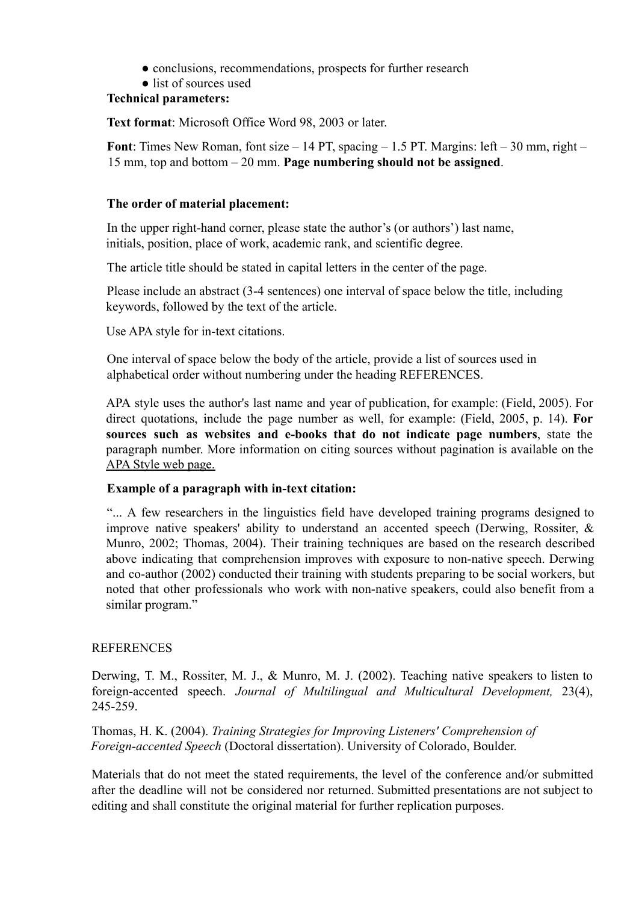- conclusions, recommendations, prospects for further research
- list of sources used

#### **Technical parameters:**

**Text format**: Microsoft Office Word 98, 2003 or later.

**Font**: Times New Roman, font size – 14 PT, spacing – 1.5 PT. Margins: left – 30 mm, right – 15 mm, top and bottom – 20 mm. **Page numbering should not be assigned**.

#### **The order of material placement:**

In the upper right-hand corner, please state the author's (or authors') last name, initials, position, place of work, academic rank, and scientific degree.

The article title should be stated in capital letters in the center of the page.

Please include an abstract (3-4 sentences) one interval of space below the title, including keywords, followed by the text of the article.

Use APA style for in-text citations.

One interval of space below the body of the article, provide a list of sources used in alphabetical order without numbering under the heading REFERENCES.

APA style uses the author's last name and year of publication, for example: (Field, 2005). For direct quotations, include the page number as well, for example: (Field, 2005, p. 14). **For sources such as websites and e-books that do not indicate page numbers**, state the paragraph number. More information on citing sources without pagination is available on the APA Style web page.

## **Example of a paragraph with in-text citation:**

"... A few researchers in the linguistics field have developed training programs designed to improve native speakers' ability to understand an accented speech (Derwing, Rossiter, & Munro, 2002; Thomas, 2004). Their training techniques are based on the research described above indicating that comprehension improves with exposure to non-native speech. Derwing and co-author (2002) conducted their training with students preparing to be social workers, but noted that other professionals who work with non-native speakers, could also benefit from a similar program."

## **REFERENCES**

Derwing, T. M., Rossiter, M. J., & Munro, M. J. (2002). Teaching native speakers to listen to foreign-accented speech. *Journal of Multilingual and Multicultural Development,* 23(4), 245-259.

Thomas, H. K. (2004). *Training Strategies for Improving Listeners' Comprehension of Foreign-accented Speech* (Doctoral dissertation). University of Colorado, Boulder.

Materials that do not meet the stated requirements, the level of the conference and/or submitted after the deadline will not be considered nor returned. Submitted presentations are not subject to editing and shall constitute the original material for further replication purposes.